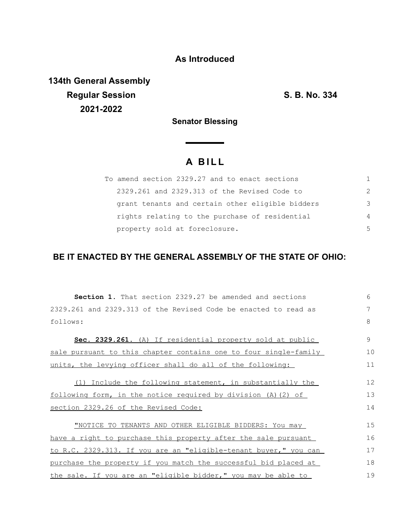## **As Introduced**

**134th General Assembly Regular Session S. B. No. 334 2021-2022**

**Senator Blessing**

<u> a shekara ta 199</u>

# **A B I L L**

| To amend section 2329.27 and to enact sections   |               |
|--------------------------------------------------|---------------|
| 2329.261 and 2329.313 of the Revised Code to     | $\mathcal{P}$ |
| grant tenants and certain other eligible bidders | 3             |
| rights relating to the purchase of residential   | 4             |
| property sold at foreclosure.                    | 5             |

### **BE IT ENACTED BY THE GENERAL ASSEMBLY OF THE STATE OF OHIO:**

| <b>Section 1.</b> That section 2329.27 be amended and sections          | 6  |
|-------------------------------------------------------------------------|----|
| 2329.261 and 2329.313 of the Revised Code be enacted to read as         | 7  |
| follows:                                                                | 8  |
| Sec. 2329.261. (A) If residential property sold at public               | 9  |
| sale pursuant to this chapter contains one to four single-family        | 10 |
| units, the levying officer shall do all of the following:               | 11 |
| (1) Include the following statement, in substantially the               | 12 |
| following form, in the notice required by division (A)(2) of            | 13 |
| section 2329.26 of the Revised Code:                                    | 14 |
| "NOTICE TO TENANTS AND OTHER ELIGIBLE BIDDERS: You may                  | 15 |
| have a right to purchase this property after the sale pursuant          | 16 |
| <u>to R.C. 2329.313. If you are an "eligible-tenant buyer," you can</u> | 17 |
| purchase the property if you match the successful bid placed at         | 18 |
| the sale. If you are an "eligible bidder," you may be able to           | 19 |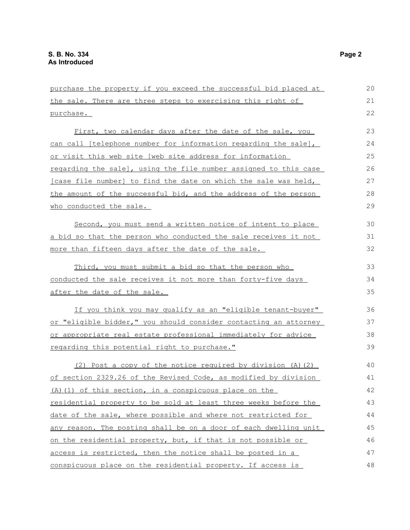| purchase the property if you exceed the successful bid placed at | 20 |
|------------------------------------------------------------------|----|
| the sale. There are three steps to exercising this right of      | 21 |
| purchase.                                                        | 22 |
| First, two calendar days after the date of the sale, you         | 23 |
| can call [telephone number for information regarding the sale],  | 24 |
| or visit this web site [web site address for information         | 25 |
| regarding the sale], using the file number assigned to this case | 26 |
| [case file number] to find the date on which the sale was held,  | 27 |
| the amount of the successful bid, and the address of the person  | 28 |
| who conducted the sale.                                          | 29 |
| Second, you must send a written notice of intent to place        | 30 |
| a bid so that the person who conducted the sale receives it not  | 31 |
| more than fifteen days after the date of the sale.               | 32 |
| Third, you must submit a bid so that the person who              | 33 |
| conducted the sale receives it not more than forty-five days     | 34 |
| after the date of the sale.                                      | 35 |
| If you think you may qualify as an "eligible tenant-buyer"       | 36 |
| or "eligible bidder," you should consider contacting an attorney | 37 |
| or appropriate real estate professional immediately for advice   | 38 |
| regarding this potential right to purchase."                     | 39 |
| (2) Post a copy of the notice required by division (A) (2)       | 40 |
| of section 2329.26 of the Revised Code, as modified by division  | 41 |
| (A) (1) of this section, in a conspicuous place on the           | 42 |
| residential property to be sold at least three weeks before the  | 43 |
| date of the sale, where possible and where not restricted for    | 44 |
| any reason. The posting shall be on a door of each dwelling unit | 45 |
| on the residential property, but, if that is not possible or     | 46 |
| access is restricted, then the notice shall be posted in a       | 47 |
| conspicuous place on the residential property. If access is      | 48 |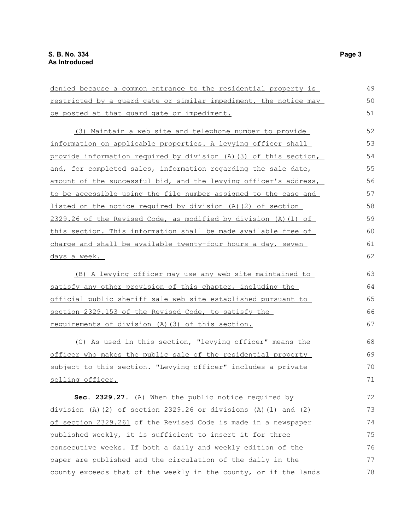| denied because a common entrance to the residential property is   | 49 |
|-------------------------------------------------------------------|----|
| restricted by a quard gate or similar impediment, the notice may  | 50 |
| be posted at that quard gate or impediment.                       | 51 |
| (3) Maintain a web site and telephone number to provide           | 52 |
| information on applicable properties. A levying officer shall     | 53 |
| provide information required by division (A) (3) of this section, | 54 |
| and, for completed sales, information regarding the sale date,    | 55 |
| amount of the successful bid, and the levying officer's address,  | 56 |
| to be accessible using the file number assigned to the case and   | 57 |
| listed on the notice required by division (A) (2) of section      | 58 |
| 2329.26 of the Revised Code, as modified by division (A) (1) of   | 59 |
| this section. This information shall be made available free of    | 60 |
| charge and shall be available twenty-four hours a day, seven      | 61 |
| days a week.                                                      | 62 |
| (B) A levying officer may use any web site maintained to          | 63 |
| satisfy any other provision of this chapter, including the        | 64 |
| official public sheriff sale web site established pursuant to     | 65 |
| section 2329.153 of the Revised Code, to satisfy the              | 66 |
| requirements of division (A) (3) of this section.                 | 67 |
| (C) As used in this section, "levying officer" means the          | 68 |
| officer who makes the public sale of the residential property     | 69 |
| subject to this section. "Levying officer" includes a private     | 70 |
| selling officer.                                                  | 71 |
| Sec. 2329.27. (A) When the public notice required by              | 72 |
| division (A)(2) of section $2329.26$ or divisions (A)(1) and (2)  | 73 |
| of section 2329.261 of the Revised Code is made in a newspaper    | 74 |
| published weekly, it is sufficient to insert it for three         | 75 |
| consecutive weeks. If both a daily and weekly edition of the      | 76 |
| paper are published and the circulation of the daily in the       | 77 |
| county exceeds that of the weekly in the county, or if the lands  | 78 |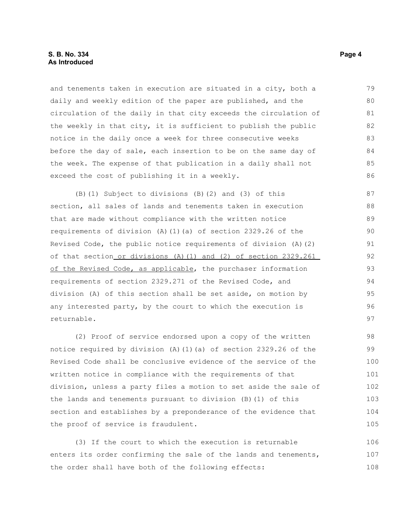#### **S. B. No. 334** Page 4 **As Introduced**

and tenements taken in execution are situated in a city, both a daily and weekly edition of the paper are published, and the circulation of the daily in that city exceeds the circulation of the weekly in that city, it is sufficient to publish the public notice in the daily once a week for three consecutive weeks before the day of sale, each insertion to be on the same day of the week. The expense of that publication in a daily shall not exceed the cost of publishing it in a weekly. 79 80 81 82 83 84 85 86

(B)(1) Subject to divisions (B)(2) and (3) of this section, all sales of lands and tenements taken in execution that are made without compliance with the written notice requirements of division (A)(1)(a) of section 2329.26 of the Revised Code, the public notice requirements of division (A)(2) of that section or divisions (A)(1) and (2) of section 2329.261 of the Revised Code, as applicable, the purchaser information requirements of section 2329.271 of the Revised Code, and division (A) of this section shall be set aside, on motion by any interested party, by the court to which the execution is returnable.

(2) Proof of service endorsed upon a copy of the written notice required by division (A)(1)(a) of section 2329.26 of the Revised Code shall be conclusive evidence of the service of the written notice in compliance with the requirements of that division, unless a party files a motion to set aside the sale of the lands and tenements pursuant to division (B)(1) of this section and establishes by a preponderance of the evidence that the proof of service is fraudulent. 98 99 100 101 102 103 104 105

(3) If the court to which the execution is returnable enters its order confirming the sale of the lands and tenements, the order shall have both of the following effects: 106 107 108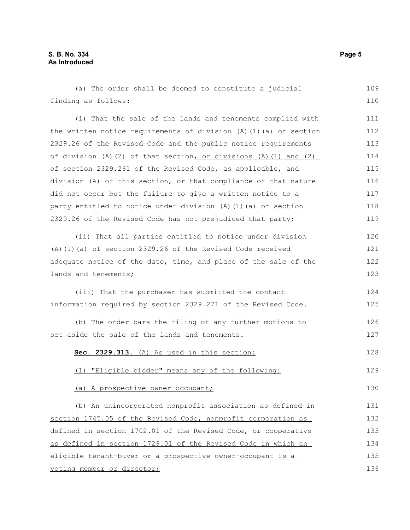(a) The order shall be deemed to constitute a judicial finding as follows: (i) That the sale of the lands and tenements complied with the written notice requirements of division (A)(1)(a) of section 2329.26 of the Revised Code and the public notice requirements of division (A)(2) of that section, or divisions (A)(1) and (2) of section 2329.261 of the Revised Code, as applicable, and division (A) of this section, or that compliance of that nature did not occur but the failure to give a written notice to a party entitled to notice under division (A)(1)(a) of section 2329.26 of the Revised Code has not prejudiced that party; (ii) That all parties entitled to notice under division (A)(1)(a) of section 2329.26 of the Revised Code received adequate notice of the date, time, and place of the sale of the lands and tenements; (iii) That the purchaser has submitted the contact information required by section 2329.271 of the Revised Code. (b) The order bars the filing of any further motions to set aside the sale of the lands and tenements. **Sec. 2329.313.** (A) As used in this section: (1) "Eligible bidder" means any of the following: (a) A prospective owner-occupant; (b) An unincorporated nonprofit association as defined in section 1745.05 of the Revised Code, nonprofit corporation as defined in section 1702.01 of the Revised Code, or cooperative as defined in section 1729.01 of the Revised Code in which an eligible tenant-buyer or a prospective owner-occupant is a 109 110 111 112 113 114 115 116 117 118 119 120 121 122 123 124 125 126 127 128 129 130 131 132 133 134 135 136

voting member or director;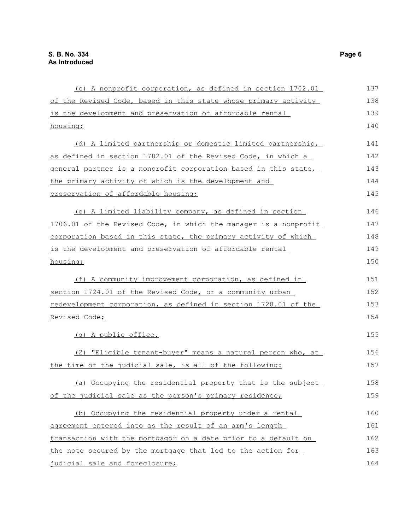| (c) A nonprofit corporation, as defined in section 1702.01       | 137 |
|------------------------------------------------------------------|-----|
| of the Revised Code, based in this state whose primary activity  | 138 |
| is the development and preservation of affordable rental         | 139 |
| housing;                                                         | 140 |
| (d) A limited partnership or domestic limited partnership,       | 141 |
| as defined in section 1782.01 of the Revised Code, in which a    | 142 |
| general partner is a nonprofit corporation based in this state,  | 143 |
| the primary activity of which is the development and             | 144 |
| preservation of affordable housing;                              | 145 |
| (e) A limited liability company, as defined in section           | 146 |
| 1706.01 of the Revised Code, in which the manager is a nonprofit | 147 |
| corporation based in this state, the primary activity of which   | 148 |
| is the development and preservation of affordable rental         | 149 |
| housing;                                                         | 150 |
| (f) A community improvement corporation, as defined in           | 151 |
| section 1724.01 of the Revised Code, or a community urban        | 152 |
| redevelopment corporation, as defined in section 1728.01 of the  | 153 |
| Revised Code;                                                    | 154 |
| (g) A public office.                                             | 155 |
| (2) "Eligible tenant-buyer" means a natural person who, at       | 156 |
| the time of the judicial sale, is all of the following:          | 157 |
| (a) Occupying the residential property that is the subject       | 158 |
| of the judicial sale as the person's primary residence;          | 159 |
| (b) Occupying the residential property under a rental            | 160 |
| agreement entered into as the result of an arm's length          | 161 |
| transaction with the mortgagor on a date prior to a default on   | 162 |
| the note secured by the mortgage that led to the action for      | 163 |
| judicial sale and foreclosure;                                   | 164 |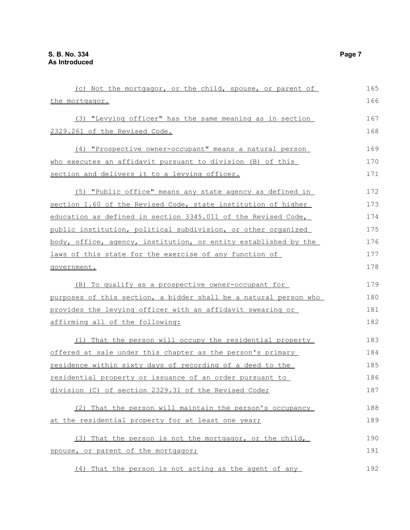| (c) Not the mortgagor, or the child, spouse, or parent of        | 165 |
|------------------------------------------------------------------|-----|
| the mortgagor.                                                   | 166 |
| (3) "Levying officer" has the same meaning as in section         | 167 |
| 2329.261 of the Revised Code.                                    | 168 |
| (4) "Prospective owner-occupant" means a natural person          | 169 |
| who executes an affidavit pursuant to division (B) of this       | 170 |
| section and delivers it to a levying officer.                    | 171 |
| (5) "Public office" means any state agency as defined in         | 172 |
| section 1.60 of the Revised Code, state institution of higher    | 173 |
| education as defined in section 3345.011 of the Revised Code,    | 174 |
| public institution, political subdivision, or other organized    | 175 |
| body, office, agency, institution, or entity established by the  | 176 |
| laws of this state for the exercise of any function of           | 177 |
| qovernment.                                                      | 178 |
| (B) To qualify as a prospective owner-occupant for               | 179 |
| purposes of this section, a bidder shall be a natural person who | 180 |
| provides the levying officer with an affidavit swearing or       | 181 |
| affirming all of the following:                                  | 182 |
| (1) That the person will occupy the residential property         | 183 |
| offered at sale under this chapter as the person's primary       | 184 |
| residence within sixty days of recording of a deed to the        | 185 |
| residential property or issuance of an order pursuant to         | 186 |
| division (C) of section 2329.31 of the Revised Code;             | 187 |
| (2) That the person will maintain the person's occupancy         | 188 |
| at the residential property for at least one year;               | 189 |
| (3) That the person is not the mortgagor, or the child,          | 190 |
| spouse, or parent of the mortgagor;                              | 191 |
| (4) That the person is not acting as the agent of any            | 192 |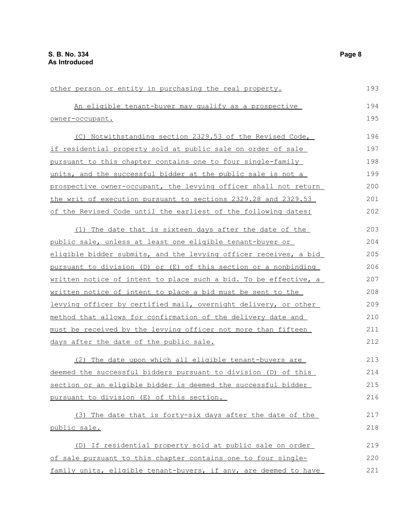| other person or entity in purchasing the real property.                 | 193 |
|-------------------------------------------------------------------------|-----|
| An eligible tenant-buyer may qualify as a prospective                   | 194 |
| owner-occupant.                                                         | 195 |
| (C) Notwithstanding section 2329.53 of the Revised Code,                | 196 |
| if residential property sold at public sale on order of sale            | 197 |
| pursuant to this chapter contains one to four single-family             | 198 |
| units, and the successful bidder at the public sale is not a            | 199 |
| prospective owner-occupant, the levying officer shall not return        | 200 |
| the writ of execution pursuant to sections 2329.28 and 2329.53          | 201 |
| of the Revised Code until the earliest of the following dates:          | 202 |
| (1) The date that is sixteen days after the date of the                 | 203 |
| public sale, unless at least one eligible tenant-buyer or               | 204 |
| eligible bidder submits, and the levying officer receives, a bid        | 205 |
| pursuant to division (D) or (E) of this section or a nonbinding         | 206 |
| <u>written notice of intent to place such a bid. To be effective, a</u> | 207 |
| written notice of intent to place a bid must be sent to the             | 208 |
| levying officer by certified mail, overnight delivery, or other         | 209 |
| method that allows for confirmation of the delivery date and            | 210 |
| must be received by the levying officer not more than fifteen           | 211 |
| days after the date of the public sale.                                 | 212 |
| (2) The date upon which all eligible tenant-buyers are                  | 213 |
| deemed the successful bidders pursuant to division (D) of this          | 214 |
| section or an eligible bidder is deemed the successful bidder           | 215 |
| pursuant to division (E) of this section.                               | 216 |
| (3) The date that is forty-six days after the date of the               | 217 |
| public sale.                                                            | 218 |
| (D) If residential property sold at public sale on order                | 219 |
| of sale pursuant to this chapter contains one to four single-           | 220 |
| family units, eligible tenant-buyers, if any, are deemed to have        | 221 |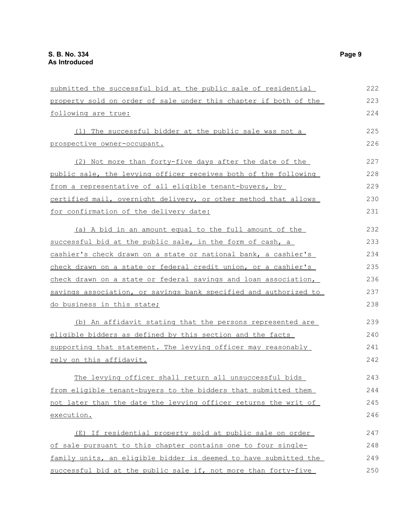| submitted the successful bid at the public sale of residential   | 222 |
|------------------------------------------------------------------|-----|
| property sold on order of sale under this chapter if both of the | 223 |
| following are true:                                              | 224 |
| (1) The successful bidder at the public sale was not a           | 225 |
| prospective owner-occupant.                                      | 226 |
| (2) Not more than forty-five days after the date of the          | 227 |
| public sale, the levying officer receives both of the following  | 228 |
| from a representative of all eligible tenant-buyers, by          | 229 |
| certified mail, overnight delivery, or other method that allows  | 230 |
| for confirmation of the delivery date:                           | 231 |
| (a) A bid in an amount equal to the full amount of the           | 232 |
| successful bid at the public sale, in the form of cash, a        | 233 |
| cashier's check drawn on a state or national bank, a cashier's   | 234 |
| check drawn on a state or federal credit union, or a cashier's   | 235 |
| check drawn on a state or federal savings and loan association,  | 236 |
| savings association, or savings bank specified and authorized to | 237 |
| do business in this state;                                       | 238 |
| (b) An affidavit stating that the persons represented are        | 239 |
| eligible bidders as defined by this section and the facts        | 240 |
| supporting that statement. The levying officer may reasonably    | 241 |
| rely on this affidavit.                                          | 242 |
| The levying officer shall return all unsuccessful bids           | 243 |
| from eligible tenant-buyers to the bidders that submitted them   | 244 |
| not later than the date the levying officer returns the writ of  | 245 |
| execution.                                                       | 246 |
| (E) If residential property sold at public sale on order         | 247 |
| of sale pursuant to this chapter contains one to four single-    | 248 |
| family units, an eligible bidder is deemed to have submitted the | 249 |
| successful bid at the public sale if, not more than forty-five   | 250 |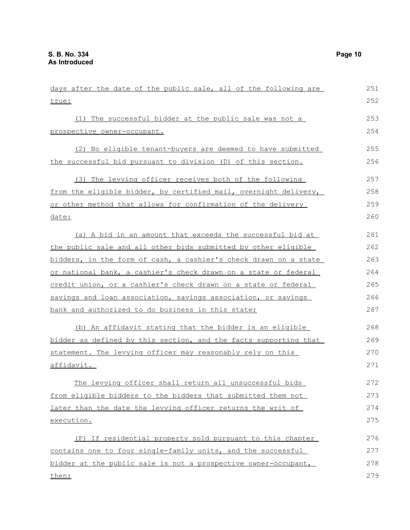| days after the date of the public sale, all of the following are | 251 |
|------------------------------------------------------------------|-----|
| true:                                                            | 252 |
| (1) The successful bidder at the public sale was not a           | 253 |
| prospective owner-occupant.                                      | 254 |
|                                                                  |     |
| (2) No eligible tenant-buyers are deemed to have submitted       | 255 |
| the successful bid pursuant to division (D) of this section.     | 256 |
| (3) The levying officer receives both of the following           | 257 |
| from the eligible bidder, by certified mail, overnight delivery, | 258 |
| or other method that allows for confirmation of the delivery     | 259 |
| date:                                                            | 260 |
| (a) A bid in an amount that exceeds the successful bid at        | 261 |
| the public sale and all other bids submitted by other eligible   | 262 |
| bidders, in the form of cash, a cashier's check drawn on a state | 263 |
| or national bank, a cashier's check drawn on a state or federal  | 264 |
| credit union, or a cashier's check drawn on a state or federal   | 265 |
| savings and loan association, savings association, or savings    | 266 |
| bank and authorized to do business in this state;                | 267 |
| (b) An affidavit stating that the bidder is an eligible          | 268 |
| bidder as defined by this section, and the facts supporting that | 269 |
| statement. The levying officer may reasonably rely on this       | 270 |
| affidavit.                                                       | 271 |
| The levying officer shall return all unsuccessful bids           | 272 |
| from eligible bidders to the bidders that submitted them not     | 273 |
| later than the date the levying officer returns the writ of      | 274 |
| execution.                                                       | 275 |
| (F) If residential property sold pursuant to this chapter        | 276 |
| contains one to four single-family units, and the successful     | 277 |
| bidder at the public sale is not a prospective owner-occupant,   | 278 |
| then:                                                            | 279 |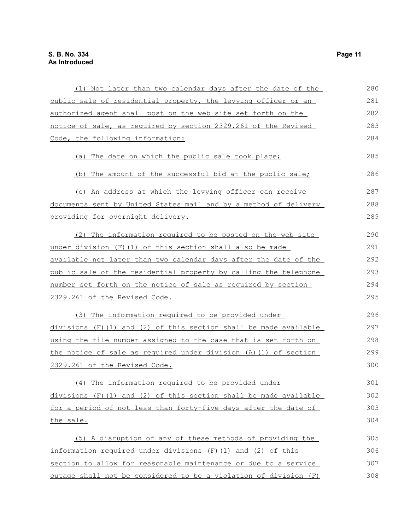| (1) Not later than two calendar days after the date of the          | 280 |
|---------------------------------------------------------------------|-----|
| public sale of residential property, the levying officer or an      | 281 |
| authorized agent shall post on the web site set forth on the        | 282 |
| notice of sale, as required by section 2329.261 of the Revised      | 283 |
| Code, the following information:                                    | 284 |
| (a) The date on which the public sale took place;                   | 285 |
| (b) The amount of the successful bid at the public sale;            | 286 |
| (c) An address at which the levying officer can receive             | 287 |
| documents sent by United States mail and by a method of delivery    | 288 |
| providing for overnight delivery.                                   | 289 |
| (2) The information required to be posted on the web site           | 290 |
| under division (F) (1) of this section shall also be made           | 291 |
| available not later than two calendar days after the date of the    | 292 |
| public sale of the residential property by calling the telephone    | 293 |
| number set forth on the notice of sale as required by section       | 294 |
| 2329.261 of the Revised Code.                                       | 295 |
| (3) The information required to be provided under                   | 296 |
| $divisions$ (F) (1) and (2) of this section shall be made available | 297 |
| using the file number assigned to the case that is set forth on     | 298 |
| the notice of sale as required under division (A) (1) of section    | 299 |
| 2329.261 of the Revised Code.                                       | 300 |
| (4) The information required to be provided under                   | 301 |
| $divisions$ (F) (1) and (2) of this section shall be made available | 302 |
| for a period of not less than forty-five days after the date of     | 303 |
| the sale.                                                           | 304 |
| (5) A disruption of any of these methods of providing the           | 305 |
| information required under divisions (F) (1) and (2) of this        | 306 |
| section to allow for reasonable maintenance or due to a service     | 307 |
| outage shall not be considered to be a violation of division (F)    | 308 |